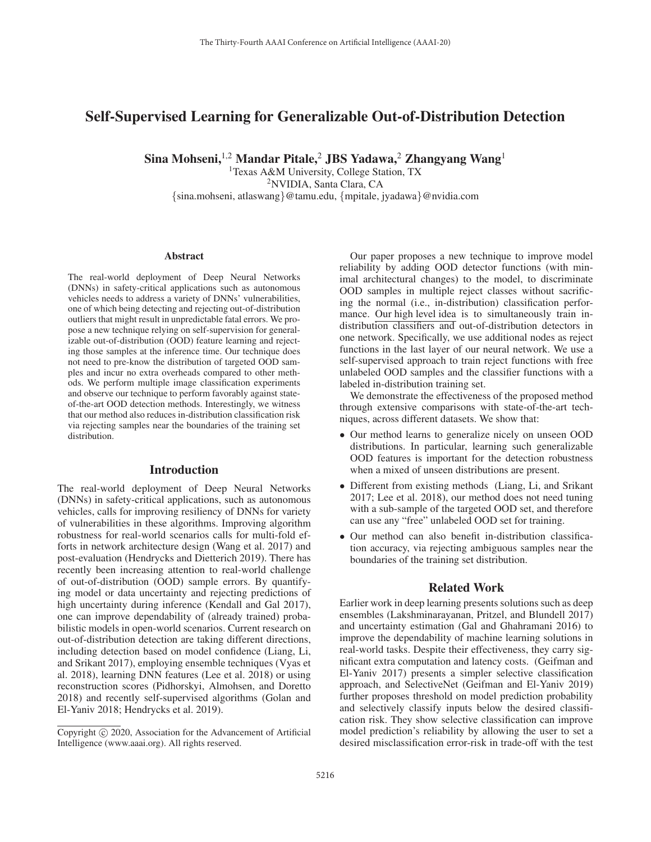# Self-Supervised Learning for Generalizable Out-of-Distribution Detection

Sina Mohseni,<sup>1,2</sup> Mandar Pitale,<sup>2</sup> JBS Yadawa,<sup>2</sup> Zhangyang Wang<sup>1</sup>

<sup>1</sup>Texas A&M University, College Station, TX 2NVIDIA, Santa Clara, CA {sina.mohseni, atlaswang}@tamu.edu, {mpitale, jyadawa}@nvidia.com

#### Abstract

The real-world deployment of Deep Neural Networks (DNNs) in safety-critical applications such as autonomous vehicles needs to address a variety of DNNs' vulnerabilities, one of which being detecting and rejecting out-of-distribution outliers that might result in unpredictable fatal errors. We propose a new technique relying on self-supervision for generalizable out-of-distribution (OOD) feature learning and rejecting those samples at the inference time. Our technique does not need to pre-know the distribution of targeted OOD samples and incur no extra overheads compared to other methods. We perform multiple image classification experiments and observe our technique to perform favorably against stateof-the-art OOD detection methods. Interestingly, we witness that our method also reduces in-distribution classification risk via rejecting samples near the boundaries of the training set distribution.

# Introduction

The real-world deployment of Deep Neural Networks (DNNs) in safety-critical applications, such as autonomous vehicles, calls for improving resiliency of DNNs for variety of vulnerabilities in these algorithms. Improving algorithm robustness for real-world scenarios calls for multi-fold efforts in network architecture design (Wang et al. 2017) and post-evaluation (Hendrycks and Dietterich 2019). There has recently been increasing attention to real-world challenge of out-of-distribution (OOD) sample errors. By quantifying model or data uncertainty and rejecting predictions of high uncertainty during inference (Kendall and Gal 2017), one can improve dependability of (already trained) probabilistic models in open-world scenarios. Current research on out-of-distribution detection are taking different directions, including detection based on model confidence (Liang, Li, and Srikant 2017), employing ensemble techniques (Vyas et al. 2018), learning DNN features (Lee et al. 2018) or using reconstruction scores (Pidhorskyi, Almohsen, and Doretto 2018) and recently self-supervised algorithms (Golan and El-Yaniv 2018; Hendrycks et al. 2019).

Our paper proposes a new technique to improve model reliability by adding OOD detector functions (with minimal architectural changes) to the model, to discriminate OOD samples in multiple reject classes without sacrificing the normal (i.e., in-distribution) classification performance. Our high level idea is to simultaneously train indistribution classifiers and out-of-distribution detectors in one network. Specifically, we use additional nodes as reject functions in the last layer of our neural network. We use a self-supervised approach to train reject functions with free unlabeled OOD samples and the classifier functions with a labeled in-distribution training set.

We demonstrate the effectiveness of the proposed method through extensive comparisons with state-of-the-art techniques, across different datasets. We show that:

- Our method learns to generalize nicely on unseen OOD distributions. In particular, learning such generalizable OOD features is important for the detection robustness when a mixed of unseen distributions are present.
- Different from existing methods (Liang, Li, and Srikant 2017; Lee et al. 2018), our method does not need tuning with a sub-sample of the targeted OOD set, and therefore can use any "free" unlabeled OOD set for training.
- Our method can also benefit in-distribution classification accuracy, via rejecting ambiguous samples near the boundaries of the training set distribution.

# Related Work

Earlier work in deep learning presents solutions such as deep ensembles (Lakshminarayanan, Pritzel, and Blundell 2017) and uncertainty estimation (Gal and Ghahramani 2016) to improve the dependability of machine learning solutions in real-world tasks. Despite their effectiveness, they carry significant extra computation and latency costs. (Geifman and El-Yaniv 2017) presents a simpler selective classification approach, and SelectiveNet (Geifman and El-Yaniv 2019) further proposes threshold on model prediction probability and selectively classify inputs below the desired classification risk. They show selective classification can improve model prediction's reliability by allowing the user to set a desired misclassification error-risk in trade-off with the test

Copyright  $\odot$  2020, Association for the Advancement of Artificial Intelligence (www.aaai.org). All rights reserved.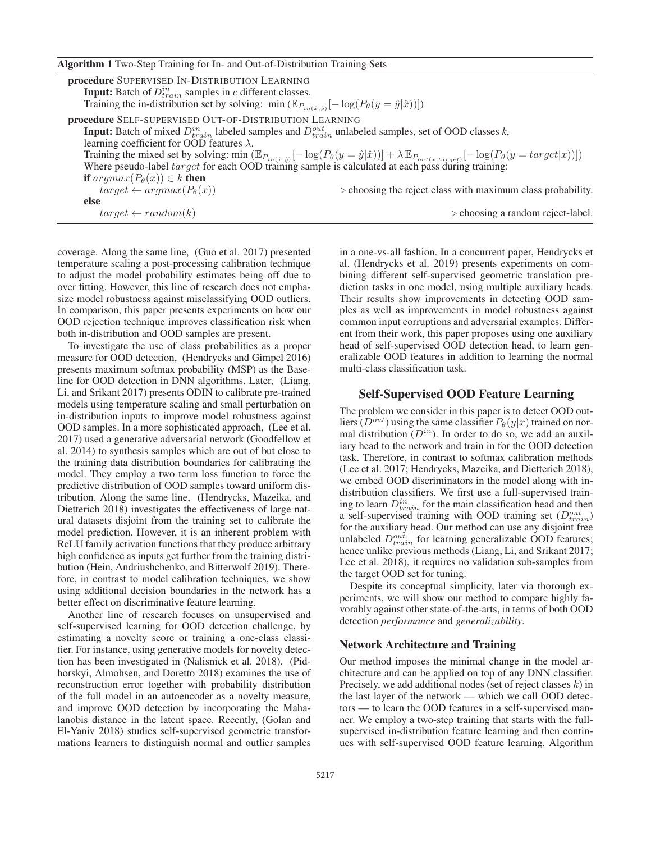|  | Algorithm 1 Two-Step Training for In- and Out-of-Distribution Training Sets |  |
|--|-----------------------------------------------------------------------------|--|
|  |                                                                             |  |

| procedure SUPERVISED IN-DISTRIBUTION LEARNING<br><b>Input:</b> Batch of $D_{train}^{in}$ samples in c different classes.                                                                                                                                                                                         |                                                                            |
|------------------------------------------------------------------------------------------------------------------------------------------------------------------------------------------------------------------------------------------------------------------------------------------------------------------|----------------------------------------------------------------------------|
| Training the in-distribution set by solving: min $(\mathbb{E}_{P_{in(\hat{x},\hat{y})}}[-\log(P_{\theta}(y=\hat{y} \hat{x}))])$                                                                                                                                                                                  |                                                                            |
| procedure SELF-SUPERVISED OUT-OF-DISTRIBUTION LEARNING                                                                                                                                                                                                                                                           |                                                                            |
| <b>Input:</b> Batch of mixed $D_{train}^{in}$ labeled samples and $D_{train}^{out}$ unlabeled samples, set of OOD classes k,                                                                                                                                                                                     |                                                                            |
| learning coefficient for OOD features $\lambda$ .                                                                                                                                                                                                                                                                |                                                                            |
| Training the mixed set by solving: min $(\mathbb{E}_{P_{in}(\hat{x}, \hat{y})}[-\log(P_{\theta}(y = \hat{y} \hat{x}))] + \lambda \mathbb{E}_{P_{out}(x, target)}[-\log(P_{\theta}(y = target x))])$<br>Where pseudo-label <i>target</i> for each OOD training sample is calculated at each pass during training: |                                                                            |
|                                                                                                                                                                                                                                                                                                                  |                                                                            |
| <b>if</b> $argmax(P_{\theta}(x)) \in k$ <b>then</b>                                                                                                                                                                                                                                                              |                                                                            |
| $target \leftarrow argmax(P_{\theta}(x))$                                                                                                                                                                                                                                                                        | $\triangleright$ choosing the reject class with maximum class probability. |
| else                                                                                                                                                                                                                                                                                                             |                                                                            |
| $target \leftarrow random(k)$                                                                                                                                                                                                                                                                                    | $\triangleright$ choosing a random reject-label.                           |

coverage. Along the same line, (Guo et al. 2017) presented temperature scaling a post-processing calibration technique to adjust the model probability estimates being off due to over fitting. However, this line of research does not emphasize model robustness against misclassifying OOD outliers. In comparison, this paper presents experiments on how our OOD rejection technique improves classification risk when both in-distribution and OOD samples are present.

To investigate the use of class probabilities as a proper measure for OOD detection, (Hendrycks and Gimpel 2016) presents maximum softmax probability (MSP) as the Baseline for OOD detection in DNN algorithms. Later, (Liang, Li, and Srikant 2017) presents ODIN to calibrate pre-trained models using temperature scaling and small perturbation on in-distribution inputs to improve model robustness against OOD samples. In a more sophisticated approach, (Lee et al. 2017) used a generative adversarial network (Goodfellow et al. 2014) to synthesis samples which are out of but close to the training data distribution boundaries for calibrating the model. They employ a two term loss function to force the predictive distribution of OOD samples toward uniform distribution. Along the same line, (Hendrycks, Mazeika, and Dietterich 2018) investigates the effectiveness of large natural datasets disjoint from the training set to calibrate the model prediction. However, it is an inherent problem with ReLU family activation functions that they produce arbitrary high confidence as inputs get further from the training distribution (Hein, Andriushchenko, and Bitterwolf 2019). Therefore, in contrast to model calibration techniques, we show using additional decision boundaries in the network has a better effect on discriminative feature learning.

Another line of research focuses on unsupervised and self-supervised learning for OOD detection challenge, by estimating a novelty score or training a one-class classifier. For instance, using generative models for novelty detection has been investigated in (Nalisnick et al. 2018). (Pidhorskyi, Almohsen, and Doretto 2018) examines the use of reconstruction error together with probability distribution of the full model in an autoencoder as a novelty measure, and improve OOD detection by incorporating the Mahalanobis distance in the latent space. Recently, (Golan and El-Yaniv 2018) studies self-supervised geometric transformations learners to distinguish normal and outlier samples in a one-vs-all fashion. In a concurrent paper, Hendrycks et al. (Hendrycks et al. 2019) presents experiments on combining different self-supervised geometric translation prediction tasks in one model, using multiple auxiliary heads. Their results show improvements in detecting OOD samples as well as improvements in model robustness against common input corruptions and adversarial examples. Different from their work, this paper proposes using one auxiliary head of self-supervised OOD detection head, to learn generalizable OOD features in addition to learning the normal multi-class classification task.

# Self-Supervised OOD Feature Learning

The problem we consider in this paper is to detect OOD outliers  $(D^{out})$  using the same classifier  $P_{\theta}(y|x)$  trained on normal distribution  $(D^{in})$ . In order to do so, we add an auxiliary head to the network and train in for the OOD detection task. Therefore, in contrast to softmax calibration methods (Lee et al. 2017; Hendrycks, Mazeika, and Dietterich 2018), we embed OOD discriminators in the model along with indistribution classifiers. We first use a full-supervised training to learn  $D_{train}^{in}$  for the main classification head and then a self-supervised training with OOD training set  $(D_{train}^{out})$ for the auxiliary head. Our method can use any disjoint free unlabeled  $D_{train}^{out}$  for learning generalizable OOD features; hence unlike previous methods (Liang, Li, and Srikant 2017; Lee et al. 2018), it requires no validation sub-samples from the target OOD set for tuning.

Despite its conceptual simplicity, later via thorough experiments, we will show our method to compare highly favorably against other state-of-the-arts, in terms of both OOD detection *performance* and *generalizability*.

#### Network Architecture and Training

Our method imposes the minimal change in the model architecture and can be applied on top of any DNN classifier. Precisely, we add additional nodes (set of reject classes  $k$ ) in the last layer of the network — which we call OOD detectors — to learn the OOD features in a self-supervised manner. We employ a two-step training that starts with the fullsupervised in-distribution feature learning and then continues with self-supervised OOD feature learning. Algorithm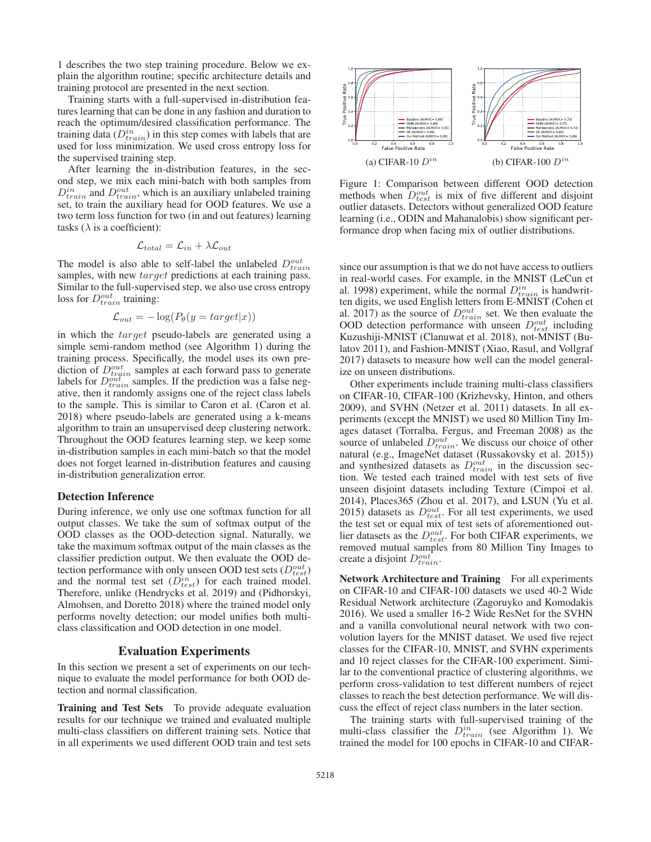1 describes the two step training procedure. Below we explain the algorithm routine; specific architecture details and training protocol are presented in the next section.

Training starts with a full-supervised in-distribution features learning that can be done in any fashion and duration to reach the optimum/desired classification performance. The training data  $(D_{train}^{in})$  in this step comes with labels that are used for loss minimization. We used cross entropy loss for the supervised training step.

After learning the in-distribution features, in the second step, we mix each mini-batch with both samples from  $D_{train}^{in}$  and  $D_{train}^{out}$ , which is an auxiliary unlabeled training set, to train the auxiliary head for OOD features. We use a two term loss function for two (in and out features) learning tasks ( $\lambda$  is a coefficient):

$$
\mathcal{L}_{total} = \mathcal{L}_{in} + \lambda \mathcal{L}_{out}
$$

The model is also able to self-label the unlabeled  $D_{train}^{out}$ samples, with new *target* predictions at each training pass. Similar to the full-supervised step, we also use cross entropy loss for  $D_{train}^{out}$  training:

$$
\mathcal{L}_{out} = -\log(P_{\theta}(y = target | x))
$$

in which the target pseudo-labels are generated using a simple semi-random method (see Algorithm 1) during the training process. Specifically, the model uses its own prediction of  $D_{train}^{out}$  samples at each forward pass to generate labels for  $D_{train}^{out}$  samples. If the prediction was a false negative, then it randomly assigns one of the reject class labels to the sample. This is similar to Caron et al. (Caron et al. 2018) where pseudo-labels are generated using a k-means algorithm to train an unsupervised deep clustering network. Throughout the OOD features learning step, we keep some in-distribution samples in each mini-batch so that the model does not forget learned in-distribution features and causing in-distribution generalization error.

#### Detection Inference

During inference, we only use one softmax function for all output classes. We take the sum of softmax output of the OOD classes as the OOD-detection signal. Naturally, we take the maximum softmax output of the main classes as the classifier prediction output. We then evaluate the OOD detection performance with only unseen OOD test sets  $(D_{test}^{out})$ and the normal test set  $(D_{test}^{in})$  for each trained model. Therefore, unlike (Hendrycks et al. 2019) and (Pidhorskyi, Almohsen, and Doretto 2018) where the trained model only performs novelty detection; our model unifies both multiclass classification and OOD detection in one model.

# Evaluation Experiments

In this section we present a set of experiments on our technique to evaluate the model performance for both OOD detection and normal classification.

Training and Test Sets To provide adequate evaluation results for our technique we trained and evaluated multiple multi-class classifiers on different training sets. Notice that in all experiments we used different OOD train and test sets



Figure 1: Comparison between different OOD detection methods when  $D_{test}^{out}$  is mix of five different and disjoint outlier datasets. Detectors without generalized OOD feature learning (i.e., ODIN and Mahanalobis) show significant performance drop when facing mix of outlier distributions.

since our assumption is that we do not have access to outliers in real-world cases. For example, in the MNIST (LeCun et al. 1998) experiment, while the normal  $D_{train}^{in}$  is handwritten digits, we used English letters from E-MNIST (Cohen et al. 2017) as the source of  $D_{train}^{out}$  set. We then evaluate the OOD detection performance with unseen  $D_{test}^{out}$  including Kuzushiji-MNIST (Clanuwat et al. 2018), not-MNIST (Bulatov 2011), and Fashion-MNIST (Xiao, Rasul, and Vollgraf 2017) datasets to measure how well can the model generalize on unseen distributions.

Other experiments include training multi-class classifiers on CIFAR-10, CIFAR-100 (Krizhevsky, Hinton, and others 2009), and SVHN (Netzer et al. 2011) datasets. In all experiments (except the MNIST) we used 80 Million Tiny Images dataset (Torralba, Fergus, and Freeman 2008) as the source of unlabeled  $D_{train}^{out}$ . We discuss our choice of other natural (e.g., ImageNet dataset (Russakovsky et al. 2015)) and synthesized datasets as  $D_{train}^{out}$  in the discussion section. We tested each trained model with test sets of five unseen disjoint datasets including Texture (Cimpoi et al. 2014), Places365 (Zhou et al. 2017), and LSUN (Yu et al. 2015) datasets as  $D_{test}^{out}$ . For all test experiments, we used the test set or equal mix of test sets of aforementioned outlier datasets as the  $D_{test}^{out}$ . For both CIFAR experiments, we removed mutual samples from 80 Million Tiny Images to create a disjoint  $D_{train}^{out}$ .

Network Architecture and Training For all experiments on CIFAR-10 and CIFAR-100 datasets we used 40-2 Wide Residual Network architecture (Zagoruyko and Komodakis 2016). We used a smaller 16-2 Wide ResNet for the SVHN and a vanilla convolutional neural network with two convolution layers for the MNIST dataset. We used five reject classes for the CIFAR-10, MNIST, and SVHN experiments and 10 reject classes for the CIFAR-100 experiment. Similar to the conventional practice of clustering algorithms, we perform cross-validation to test different numbers of reject classes to reach the best detection performance. We will discuss the effect of reject class numbers in the later section.

The training starts with full-supervised training of the multi-class classifier the  $D_{train}^{in}$  (see Algorithm 1). We trained the model for 100 epochs in CIFAR-10 and CIFAR-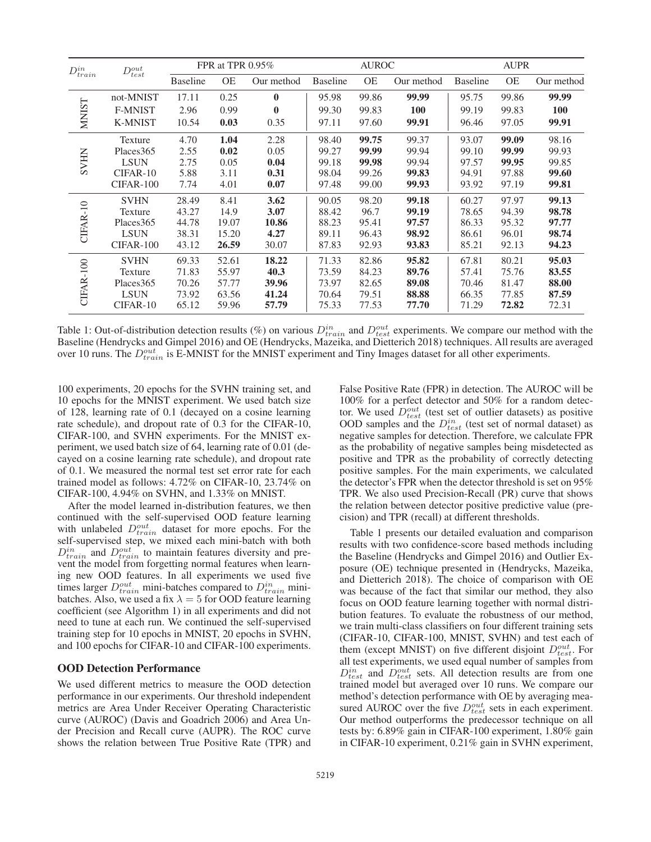| $D_{train}^{in}$ | $D_{test}^{out}$ | FPR at TPR 0.95% |           | <b>AUROC</b> |                 | <b>AUPR</b> |            |                 |           |            |
|------------------|------------------|------------------|-----------|--------------|-----------------|-------------|------------|-----------------|-----------|------------|
|                  |                  | <b>Baseline</b>  | <b>OE</b> | Our method   | <b>Baseline</b> | <b>OE</b>   | Our method | <b>Baseline</b> | <b>OE</b> | Our method |
| <b>NINIST</b>    | not-MNIST        | 17.11            | 0.25      | $\bf{0}$     | 95.98           | 99.86       | 99.99      | 95.75           | 99.86     | 99.99      |
|                  | <b>F-MNIST</b>   | 2.96             | 0.99      | $\bf{0}$     | 99.30           | 99.83       | <b>100</b> | 99.19           | 99.83     | <b>100</b> |
|                  | <b>K-MNIST</b>   | 10.54            | 0.03      | 0.35         | 97.11           | 97.60       | 99.91      | 96.46           | 97.05     | 99.91      |
| <b>SVHN</b>      | Texture          | 4.70             | 1.04      | 2.28         | 98.40           | 99.75       | 99.37      | 93.07           | 99.09     | 98.16      |
|                  | Places 365       | 2.55             | 0.02      | 0.05         | 99.27           | 99.99       | 99.94      | 99.10           | 99.99     | 99.93      |
|                  | <b>LSUN</b>      | 2.75             | 0.05      | 0.04         | 99.18           | 99.98       | 99.94      | 97.57           | 99.95     | 99.85      |
|                  | CIFAR-10         | 5.88             | 3.11      | 0.31         | 98.04           | 99.26       | 99.83      | 94.91           | 97.88     | 99.60      |
|                  | CIFAR-100        | 7.74             | 4.01      | 0.07         | 97.48           | 99.00       | 99.93      | 93.92           | 97.19     | 99.81      |
| CIFAR-10         | <b>SVHN</b>      | 28.49            | 8.41      | 3.62         | 90.05           | 98.20       | 99.18      | 60.27           | 97.97     | 99.13      |
|                  | Texture          | 43.27            | 14.9      | 3.07         | 88.42           | 96.7        | 99.19      | 78.65           | 94.39     | 98.78      |
|                  | Places 365       | 44.78            | 19.07     | 10.86        | 88.23           | 95.41       | 97.57      | 86.33           | 95.32     | 97.77      |
|                  | <b>LSUN</b>      | 38.31            | 15.20     | 4.27         | 89.11           | 96.43       | 98.92      | 86.61           | 96.01     | 98.74      |
|                  | CIFAR-100        | 43.12            | 26.59     | 30.07        | 87.83           | 92.93       | 93.83      | 85.21           | 92.13     | 94.23      |
| CIFAR-100        | <b>SVHN</b>      | 69.33            | 52.61     | 18.22        | 71.33           | 82.86       | 95.82      | 67.81           | 80.21     | 95.03      |
|                  | Texture          | 71.83            | 55.97     | 40.3         | 73.59           | 84.23       | 89.76      | 57.41           | 75.76     | 83.55      |
|                  | Places 365       | 70.26            | 57.77     | 39.96        | 73.97           | 82.65       | 89.08      | 70.46           | 81.47     | 88.00      |
|                  | <b>LSUN</b>      | 73.92            | 63.56     | 41.24        | 70.64           | 79.51       | 88.88      | 66.35           | 77.85     | 87.59      |
|                  | CIFAR-10         | 65.12            | 59.96     | 57.79        | 75.33           | 77.53       | 77.70      | 71.29           | 72.82     | 72.31      |

Table 1: Out-of-distribution detection results (%) on various  $D_{train}^{in}$  and  $D_{test}^{out}$  experiments. We compare our method with the Baseline (Hendrycks and Gimpel 2016) and OE (Hendrycks, Mazeika, and Dietterich 2018) techniques. All results are averaged over 10 runs. The  $D_{train}^{out}$  is E-MNIST for the MNIST experiment and Tiny Images dataset for all other experiments.

100 experiments, 20 epochs for the SVHN training set, and 10 epochs for the MNIST experiment. We used batch size of 128, learning rate of 0.1 (decayed on a cosine learning rate schedule), and dropout rate of 0.3 for the CIFAR-10, CIFAR-100, and SVHN experiments. For the MNIST experiment, we used batch size of 64, learning rate of 0.01 (decayed on a cosine learning rate schedule), and dropout rate of 0.1. We measured the normal test set error rate for each trained model as follows: 4.72% on CIFAR-10, 23.74% on CIFAR-100, 4.94% on SVHN, and 1.33% on MNIST.

After the model learned in-distribution features, we then continued with the self-supervised OOD feature learning with unlabeled  $D_{train}^{out}$  dataset for more epochs. For the self-supervised step, we mixed each mini-batch with both  $D_{train}^{in}$  and  $D_{train}^{out}$  to maintain features diversity and prevent the model from forgetting normal features when learning new OOD features. In all experiments we used five times larger  $D_{train}^{out}$  mini-batches compared to  $D_{train}^{in}$  minibatches. Also, we used a fix  $\lambda = 5$  for OOD feature learning coefficient (see Algorithm 1) in all experiments and did not need to tune at each run. We continued the self-supervised training step for 10 epochs in MNIST, 20 epochs in SVHN, and 100 epochs for CIFAR-10 and CIFAR-100 experiments.

#### OOD Detection Performance

We used different metrics to measure the OOD detection performance in our experiments. Our threshold independent metrics are Area Under Receiver Operating Characteristic curve (AUROC) (Davis and Goadrich 2006) and Area Under Precision and Recall curve (AUPR). The ROC curve shows the relation between True Positive Rate (TPR) and False Positive Rate (FPR) in detection. The AUROC will be 100% for a perfect detector and 50% for a random detector. We used  $D_{test}^{out}$  (test set of outlier datasets) as positive OOD samples and the  $D_{test}^{in}$  (test set of normal dataset) as negative samples for detection. Therefore, we calculate FPR as the probability of negative samples being misdetected as positive and TPR as the probability of correctly detecting positive samples. For the main experiments, we calculated the detector's FPR when the detector threshold is set on 95% TPR. We also used Precision-Recall (PR) curve that shows the relation between detector positive predictive value (precision) and TPR (recall) at different thresholds.

Table 1 presents our detailed evaluation and comparison results with two confidence-score based methods including the Baseline (Hendrycks and Gimpel 2016) and Outlier Exposure (OE) technique presented in (Hendrycks, Mazeika, and Dietterich 2018). The choice of comparison with OE was because of the fact that similar our method, they also focus on OOD feature learning together with normal distribution features. To evaluate the robustness of our method, we train multi-class classifiers on four different training sets (CIFAR-10, CIFAR-100, MNIST, SVHN) and test each of them (except MNIST) on five different disjoint  $D_{test}^{out}$ . For all test experiments, we used equal number of samples from  $D_{test}^{in}$  and  $D_{test}^{out}$  sets. All detection results are from one trained model but averaged over 10 runs. We compare our method's detection performance with OE by averaging measured AUROC over the five  $D_{test}^{out}$  sets in each experiment. Our method outperforms the predecessor technique on all tests by: 6.89% gain in CIFAR-100 experiment, 1.80% gain in CIFAR-10 experiment, 0.21% gain in SVHN experiment,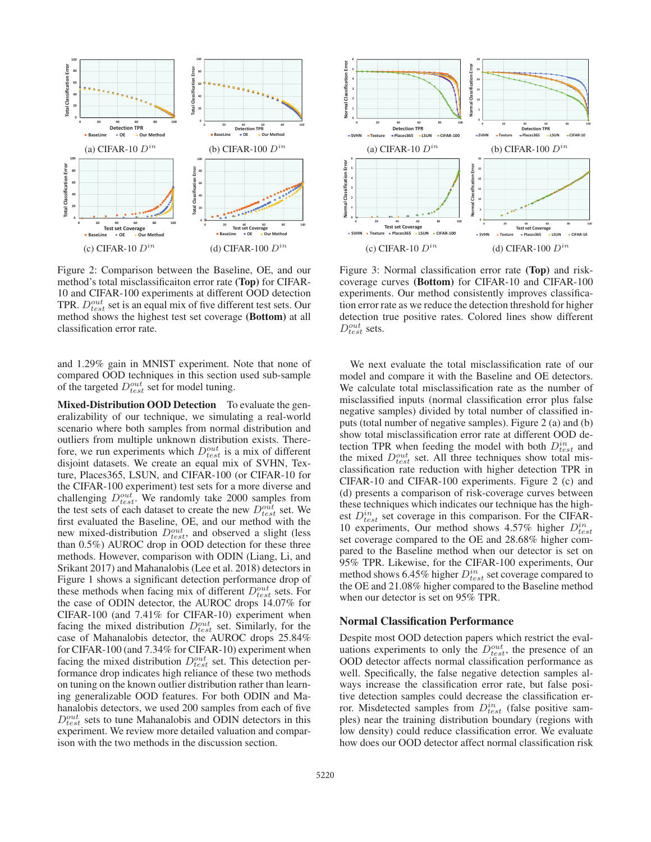

Figure 2: Comparison between the Baseline, OE, and our method's total misclassificaiton error rate (Top) for CIFAR-10 and CIFAR-100 experiments at different OOD detection TPR.  $D_{test}^{out}$  set is an equal mix of five different test sets. Our method shows the highest test set coverage (Bottom) at all classification error rate.

and 1.29% gain in MNIST experiment. Note that none of compared OOD techniques in this section used sub-sample of the targeted  $D_{test}^{out}$  set for model tuning.

Mixed-Distribution OOD Detection To evaluate the generalizability of our technique, we simulating a real-world scenario where both samples from normal distribution and outliers from multiple unknown distribution exists. Therefore, we run experiments which  $D_{test}^{out}$  is a mix of different disjoint datasets. We create an equal mix of SVHN, Texture, Places365, LSUN, and CIFAR-100 (or CIFAR-10 for the CIFAR-100 experiment) test sets for a more diverse and challenging  $D_{test}^{out}$ . We randomly take 2000 samples from the test sets of each dataset to create the new  $D_{test}^{out}$  set. We first evaluated the Baseline, OE, and our method with the new mixed-distribution  $D_{test}^{out}$ , and observed a slight (less than 0.5%) AUROC drop in OOD detection for these three methods. However, comparison with ODIN (Liang, Li, and Srikant 2017) and Mahanalobis (Lee et al. 2018) detectors in Figure 1 shows a significant detection performance drop of these methods when facing mix of different  $D_{test}^{out}$  sets. For the case of ODIN detector, the AUROC drops 14.07% for CIFAR-100 (and 7.41% for CIFAR-10) experiment when facing the mixed distribution  $D_{test}^{out}$  set. Similarly, for the case of Mahanalobis detector, the AUROC drops 25.84% for CIFAR-100 (and 7.34% for CIFAR-10) experiment when facing the mixed distribution  $D_{test}^{out}$  set. This detection performance drop indicates high reliance of these two methods on tuning on the known outlier distribution rather than learning generalizable OOD features. For both ODIN and Mahanalobis detectors, we used 200 samples from each of five  $D_{test}^{out}$  sets to tune Mahanalobis and ODIN detectors in this experiment. We review more detailed valuation and comparison with the two methods in the discussion section.



Figure 3: Normal classification error rate (Top) and riskcoverage curves (Bottom) for CIFAR-10 and CIFAR-100 experiments. Our method consistently improves classification error rate as we reduce the detection threshold for higher detection true positive rates. Colored lines show different  $D_{test}^{out}$  sets.

We next evaluate the total misclassification rate of our model and compare it with the Baseline and OE detectors. We calculate total misclassification rate as the number of misclassified inputs (normal classification error plus false negative samples) divided by total number of classified inputs (total number of negative samples). Figure 2 (a) and (b) show total misclassification error rate at different OOD detection TPR when feeding the model with both  $D_{test}^{in}$  and the mixed  $D_{test}^{out}$  set. All three techniques show total misclassification rate reduction with higher detection TPR in CIFAR-10 and CIFAR-100 experiments. Figure 2 (c) and (d) presents a comparison of risk-coverage curves between these techniques which indicates our technique has the highest  $D_{test}^{in}$  set coverage in this comparison. For the CIFAR-10 experiments, Our method shows 4.57% higher  $D_{test}^{in}$ set coverage compared to the OE and 28.68% higher compared to the Baseline method when our detector is set on 95% TPR. Likewise, for the CIFAR-100 experiments, Our method shows 6.45% higher  $D_{test}^{in}$  set coverage compared to the OE and 21.08% higher compared to the Baseline method when our detector is set on 95% TPR.

#### Normal Classification Performance

Despite most OOD detection papers which restrict the evaluations experiments to only the  $D_{test}^{out}$ , the presence of an OOD detector affects normal classification performance as well. Specifically, the false negative detection samples always increase the classification error rate, but false positive detection samples could decrease the classification error. Misdetected samples from  $D_{test}^{in}$  (false positive samples) near the training distribution boundary (regions with low density) could reduce classification error. We evaluate how does our OOD detector affect normal classification risk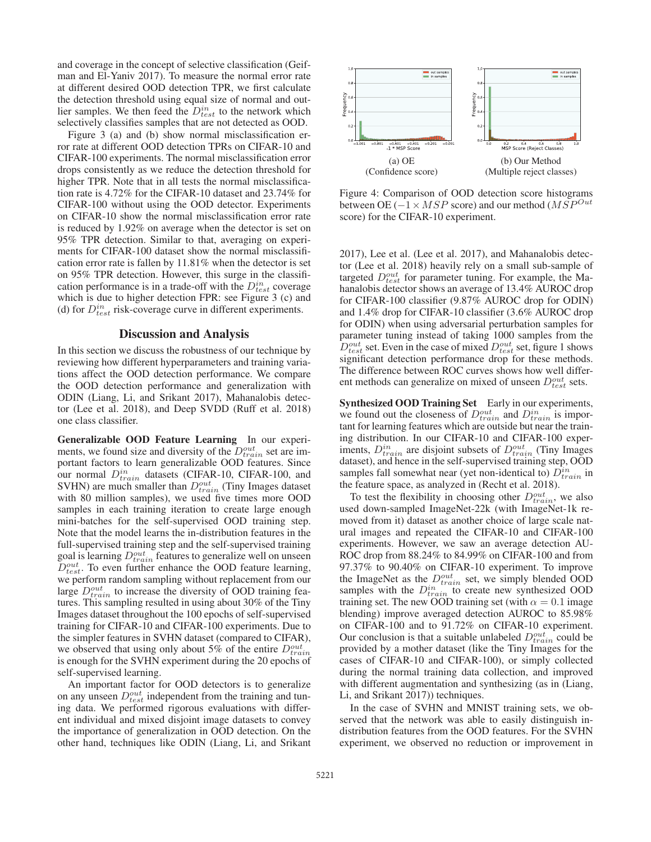and coverage in the concept of selective classification (Geifman and El-Yaniv 2017). To measure the normal error rate at different desired OOD detection TPR, we first calculate the detection threshold using equal size of normal and outlier samples. We then feed the  $D_{test}^{in}$  to the network which selectively classifies samples that are not detected as OOD.

Figure 3 (a) and (b) show normal misclassification error rate at different OOD detection TPRs on CIFAR-10 and CIFAR-100 experiments. The normal misclassification error drops consistently as we reduce the detection threshold for higher TPR. Note that in all tests the normal misclassification rate is 4.72% for the CIFAR-10 dataset and 23.74% for CIFAR-100 without using the OOD detector. Experiments on CIFAR-10 show the normal misclassification error rate is reduced by 1.92% on average when the detector is set on 95% TPR detection. Similar to that, averaging on experiments for CIFAR-100 dataset show the normal misclassification error rate is fallen by 11.81% when the detector is set on 95% TPR detection. However, this surge in the classification performance is in a trade-off with the  $D_{test}^{in}$  coverage which is due to higher detection FPR: see Figure 3 (c) and (d) for  $D_{test}^{in}$  risk-coverage curve in different experiments.

# Discussion and Analysis

In this section we discuss the robustness of our technique by reviewing how different hyperparameters and training variations affect the OOD detection performance. We compare the OOD detection performance and generalization with ODIN (Liang, Li, and Srikant 2017), Mahanalobis detector (Lee et al. 2018), and Deep SVDD (Ruff et al. 2018) one class classifier.

Generalizable OOD Feature Learning In our experiments, we found size and diversity of the  $D_{train}^{out}$  set are important factors to learn generalizable OOD features. Since our normal  $D_{train}^{in}$  datasets (CIFAR-10, CIFAR-100, and SVHN) are much smaller than  $D_{train}^{out}$  (Tiny Images dataset with 80 million samples), we used five times more OOD samples in each training iteration to create large enough mini-batches for the self-supervised OOD training step. Note that the model learns the in-distribution features in the full-supervised training step and the self-supervised training goal is learning  $D_{train}^{out}$  features to generalize well on unseen  $D_{test}^{out}$ . To even further enhance the OOD feature learning, we perform random sampling without replacement from our large  $D_{train}^{out}$  to increase the diversity of OOD training features. This sampling resulted in using about 30% of the Tiny Images dataset throughout the 100 epochs of self-supervised training for CIFAR-10 and CIFAR-100 experiments. Due to the simpler features in SVHN dataset (compared to CIFAR), we observed that using only about 5% of the entire  $D_{train}^{out}$ is enough for the SVHN experiment during the 20 epochs of self-supervised learning.

An important factor for OOD detectors is to generalize on any unseen  $D_{test}^{out}$  independent from the training and tuning data. We performed rigorous evaluations with different individual and mixed disjoint image datasets to convey the importance of generalization in OOD detection. On the other hand, techniques like ODIN (Liang, Li, and Srikant



Figure 4: Comparison of OOD detection score histograms between OE ( $-1 \times MSP$  score) and our method ( $MSP^{Out}$ score) for the CIFAR-10 experiment.

2017), Lee et al. (Lee et al. 2017), and Mahanalobis detector (Lee et al. 2018) heavily rely on a small sub-sample of targeted  $D_{test}^{out}$  for parameter tuning. For example, the Mahanalobis detector shows an average of 13.4% AUROC drop for CIFAR-100 classifier (9.87% AUROC drop for ODIN) and 1.4% drop for CIFAR-10 classifier (3.6% AUROC drop for ODIN) when using adversarial perturbation samples for parameter tuning instead of taking 1000 samples from the  $D_{test}^{out}$  set. Even in the case of mixed  $D_{test}^{out}$  set, figure 1 shows significant detection performance drop for these methods. The difference between ROC curves shows how well different methods can generalize on mixed of unseen  $D_{test}^{out}$  sets.

Synthesized OOD Training Set Early in our experiments, we found out the closeness of  $D_{train}^{out}$  and  $D_{train}^{in}$  is important for learning features which are outside but near the training distribution. In our CIFAR-10 and CIFAR-100 experiments,  $D_{train}^{in}$  are disjoint subsets of  $D_{train}^{out}$  (Tiny Images dataset), and hence in the self-supervised training step, OOD samples fall somewhat near (yet non-identical to)  $D_{train}^{in}$  in the feature space, as analyzed in (Recht et al. 2018).

To test the flexibility in choosing other  $D_{train}^{out}$ , we also used down-sampled ImageNet-22k (with ImageNet-1k removed from it) dataset as another choice of large scale natural images and repeated the CIFAR-10 and CIFAR-100 experiments. However, we saw an average detection AU-ROC drop from 88.24% to 84.99% on CIFAR-100 and from 97.37% to 90.40% on CIFAR-10 experiment. To improve the ImageNet as the  $D_{train}^{out}$  set, we simply blended OOD samples with the  $D_{train}^{in}$  to create new synthesized OOD training set. The new OOD training set (with  $\alpha = 0.1$  image blending) improve averaged detection AUROC to 85.98% on CIFAR-100 and to 91.72% on CIFAR-10 experiment. Our conclusion is that a suitable unlabeled  $D_{train}^{out}$  could be provided by a mother dataset (like the Tiny Images for the cases of CIFAR-10 and CIFAR-100), or simply collected during the normal training data collection, and improved with different augmentation and synthesizing (as in (Liang, Li, and Srikant 2017)) techniques.

In the case of SVHN and MNIST training sets, we observed that the network was able to easily distinguish indistribution features from the OOD features. For the SVHN experiment, we observed no reduction or improvement in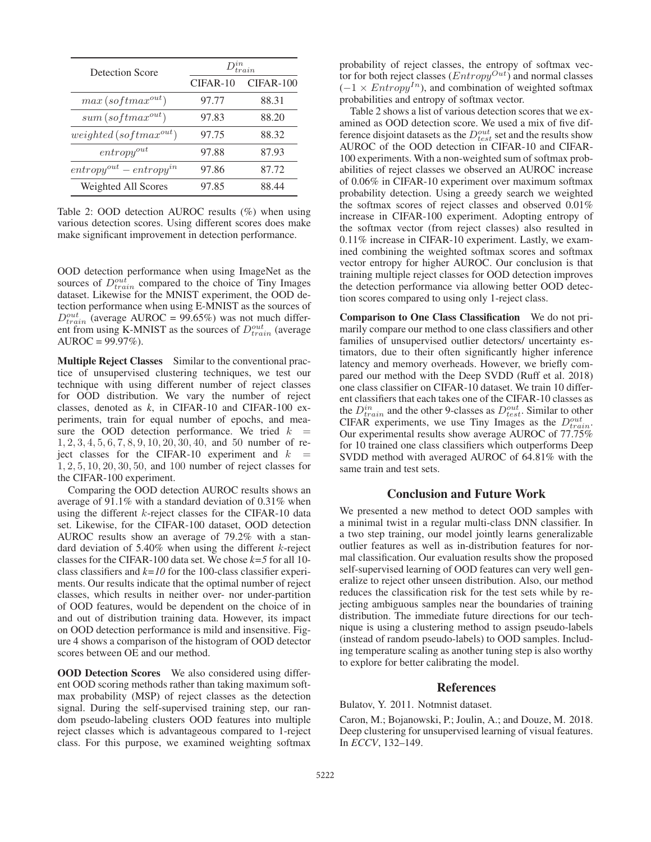| Detection Score                | $Q_{train}^{in}$ |             |  |  |
|--------------------------------|------------------|-------------|--|--|
|                                | $CIFAR-10$       | $CIFAR-100$ |  |  |
| $max(softmax^{out})$           | 97.77            | 88.31       |  |  |
| $sum(softmax^{out})$           | 97.83            | 88.20       |  |  |
| $weighted(softmax^{out})$      | 97.75            | 88.32       |  |  |
| $entropy^{out}$                | 97.88            | 87.93       |  |  |
| $entropy^{out} - entropy^{in}$ | 97.86            | 87.72       |  |  |
| Weighted All Scores            | 97.85            | 88.44       |  |  |

Table 2: OOD detection AUROC results (%) when using various detection scores. Using different scores does make make significant improvement in detection performance.

OOD detection performance when using ImageNet as the sources of  $D_{train}^{out}$  compared to the choice of Tiny Images dataset. Likewise for the MNIST experiment, the OOD detection performance when using E-MNIST as the sources of  $D_{train}^{out}$  (average AUROC = 99.65%) was not much different from using K-MNIST as the sources of  $D_{train}^{out}$  (average  $AUROC = 99.97\%$ ).

Multiple Reject Classes Similar to the conventional practice of unsupervised clustering techniques, we test our technique with using different number of reject classes for OOD distribution. We vary the number of reject classes, denoted as *k*, in CIFAR-10 and CIFAR-100 experiments, train for equal number of epochs, and measure the OOD detection performance. We tried  $k =$ 1, 2, 3, 4, 5, 6, 7, 8, 9, 10, 20, 30, 40, and 50 number of reject classes for the CIFAR-10 experiment and  $k =$ 1, 2, 5, 10, 20, 30, 50, and 100 number of reject classes for the CIFAR-100 experiment.

Comparing the OOD detection AUROC results shows an average of 91.1% with a standard deviation of 0.31% when using the different k-reject classes for the CIFAR-10 data set. Likewise, for the CIFAR-100 dataset, OOD detection AUROC results show an average of 79.2% with a standard deviation of  $5.40\%$  when using the different k-reject classes for the CIFAR-100 data set. We chose *k=5* for all 10 class classifiers and *k=10* for the 100-class classifier experiments. Our results indicate that the optimal number of reject classes, which results in neither over- nor under-partition of OOD features, would be dependent on the choice of in and out of distribution training data. However, its impact on OOD detection performance is mild and insensitive. Figure 4 shows a comparison of the histogram of OOD detector scores between OE and our method.

**OOD Detection Scores** We also considered using different OOD scoring methods rather than taking maximum softmax probability (MSP) of reject classes as the detection signal. During the self-supervised training step, our random pseudo-labeling clusters OOD features into multiple reject classes which is advantageous compared to 1-reject class. For this purpose, we examined weighting softmax probability of reject classes, the entropy of softmax vector for both reject classes  $(Entropy^{Out})$  and normal classes  $(-1 \times Entropy^{In})$ , and combination of weighted softmax probabilities and entropy of softmax vector.

Table 2 shows a list of various detection scores that we examined as OOD detection score. We used a mix of five difference disjoint datasets as the  $D_{test}^{out}$  set and the results show AUROC of the OOD detection in CIFAR-10 and CIFAR-100 experiments. With a non-weighted sum of softmax probabilities of reject classes we observed an AUROC increase of 0.06% in CIFAR-10 experiment over maximum softmax probability detection. Using a greedy search we weighted the softmax scores of reject classes and observed 0.01% increase in CIFAR-100 experiment. Adopting entropy of the softmax vector (from reject classes) also resulted in 0.11% increase in CIFAR-10 experiment. Lastly, we examined combining the weighted softmax scores and softmax vector entropy for higher AUROC. Our conclusion is that training multiple reject classes for OOD detection improves the detection performance via allowing better OOD detection scores compared to using only 1-reject class.

Comparison to One Class Classification We do not primarily compare our method to one class classifiers and other families of unsupervised outlier detectors/ uncertainty estimators, due to their often significantly higher inference latency and memory overheads. However, we briefly compared our method with the Deep SVDD (Ruff et al. 2018) one class classifier on CIFAR-10 dataset. We train 10 different classifiers that each takes one of the CIFAR-10 classes as the  $D_{train}^{in}$  and the other 9-classes as  $D_{test}^{out}$ . Similar to other CIFAR experiments, we use Tiny Images as the  $D_{train}^{out}$ . Our experimental results show average AUROC of 77.75% for 10 trained one class classifiers which outperforms Deep SVDD method with averaged AUROC of 64.81% with the same train and test sets.

# Conclusion and Future Work

We presented a new method to detect OOD samples with a minimal twist in a regular multi-class DNN classifier. In a two step training, our model jointly learns generalizable outlier features as well as in-distribution features for normal classification. Our evaluation results show the proposed self-supervised learning of OOD features can very well generalize to reject other unseen distribution. Also, our method reduces the classification risk for the test sets while by rejecting ambiguous samples near the boundaries of training distribution. The immediate future directions for our technique is using a clustering method to assign pseudo-labels (instead of random pseudo-labels) to OOD samples. Including temperature scaling as another tuning step is also worthy to explore for better calibrating the model.

#### References

Bulatov, Y. 2011. Notmnist dataset.

Caron, M.; Bojanowski, P.; Joulin, A.; and Douze, M. 2018. Deep clustering for unsupervised learning of visual features. In *ECCV*, 132–149.